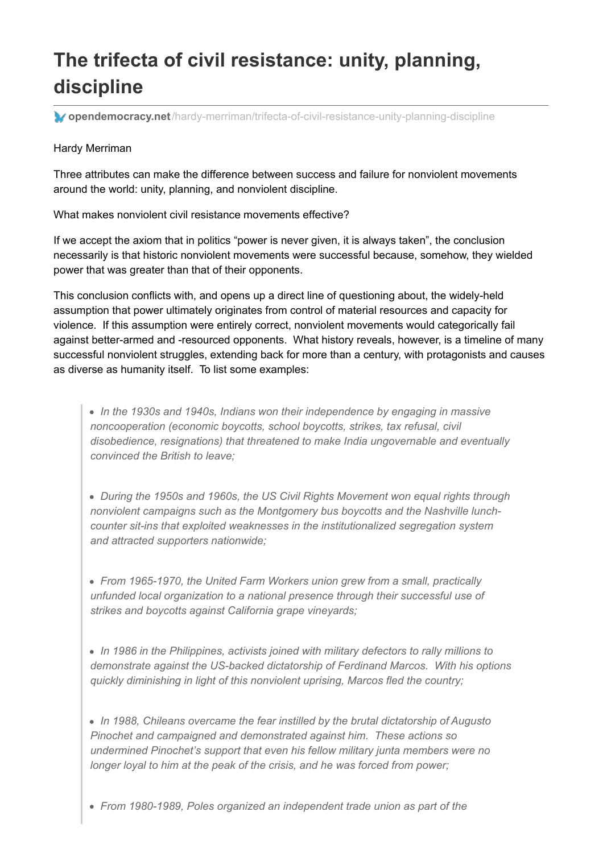# **The trifecta of civil resistance: unity, planning, discipline**

**opendemocracy.net**[/hardy-merriman/trifecta-of-civil-resistance-unity-planning-discipline](https://www.opendemocracy.net/hardy-merriman/trifecta-of-civil-resistance-unity-planning-discipline)

#### Hardy Merriman

Three attributes can make the difference between success and failure for nonviolent movements around the world: unity, planning, and nonviolent discipline.

What makes nonviolent civil resistance movements effective?

If we accept the axiom that in politics "power is never given, it is always taken", the conclusion necessarily is that historic nonviolent movements were successful because, somehow, they wielded power that was greater than that of their opponents.

This conclusion conflicts with, and opens up a direct line of questioning about, the widely-held assumption that power ultimately originates from control of material resources and capacity for violence. If this assumption were entirely correct, nonviolent movements would categorically fail against better-armed and -resourced opponents. What history reveals, however, is a timeline of many successful nonviolent struggles, extending back for more than a century, with protagonists and causes as diverse as humanity itself. To list some examples:

*In the 1930s and 1940s, Indians won their independence by engaging in massive noncooperation (economic boycotts, school boycotts, strikes, tax refusal, civil disobedience, resignations) that threatened to make India ungovernable and eventually convinced the British to leave;*

*During the 1950s and 1960s, the US Civil Rights Movement won equal rights through nonviolent campaigns such as the Montgomery bus boycotts and the Nashville lunchcounter sit-ins that exploited weaknesses in the institutionalized segregation system and attracted supporters nationwide;*

*From 1965-1970, the United Farm Workers union grew from a small, practically unfunded local organization to a national presence through their successful use of strikes and boycotts against California grape vineyards;*

*In 1986 in the Philippines, activists joined with military defectors to rally millions to demonstrate against the US-backed dictatorship of Ferdinand Marcos. With his options quickly diminishing in light of this nonviolent uprising, Marcos fled the country;*

*In 1988, Chileans overcame the fear instilled by the brutal dictatorship of Augusto Pinochet and campaigned and demonstrated against him. These actions so undermined Pinochet's support that even his fellow military junta members were no longer loyal to him at the peak of the crisis, and he was forced from power;*

*From 1980-1989, Poles organized an independent trade union as part of the*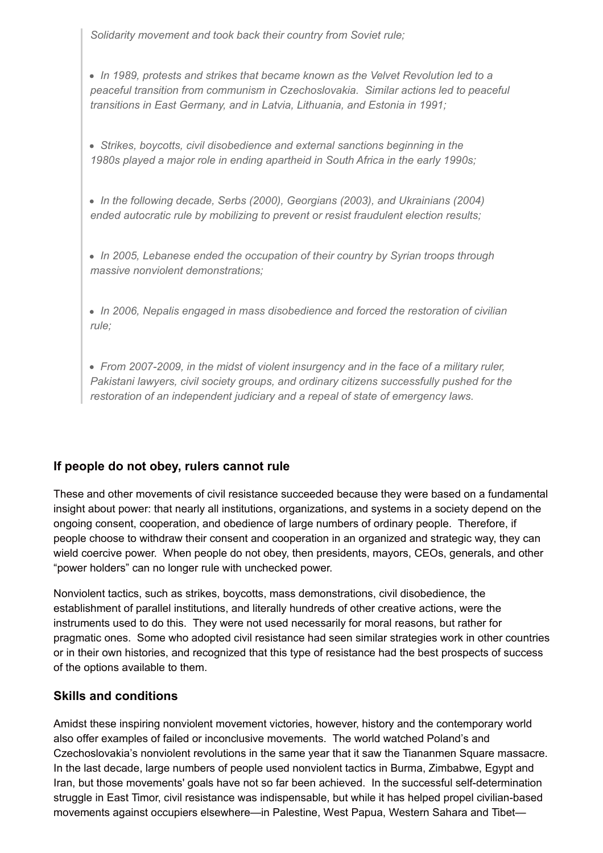*Solidarity movement and took back their country from Soviet rule;*

*In 1989, protests and strikes that became known as the Velvet Revolution led to a peaceful transition from communism in Czechoslovakia. Similar actions led to peaceful transitions in East Germany, and in Latvia, Lithuania, and Estonia in 1991;*

- *Strikes, boycotts, civil disobedience and external sanctions beginning in the 1980s played a major role in ending apartheid in South Africa in the early 1990s;*
- *In the following decade, Serbs (2000), Georgians (2003), and Ukrainians (2004) ended autocratic rule by mobilizing to prevent or resist fraudulent election results;*
- *In 2005, Lebanese ended the occupation of their country by Syrian troops through massive nonviolent demonstrations;*
- *In 2006, Nepalis engaged in mass disobedience and forced the restoration of civilian rule;*
- *From 2007-2009, in the midst of violent insurgency and in the face of a military ruler, Pakistani lawyers, civil society groups, and ordinary citizens successfully pushed for the restoration of an independent judiciary and a repeal of state of emergency laws.*

## **If people do not obey, rulers cannot rule**

These and other movements of civil resistance succeeded because they were based on a fundamental insight about power: that nearly all institutions, organizations, and systems in a society depend on the ongoing consent, cooperation, and obedience of large numbers of ordinary people. Therefore, if people choose to withdraw their consent and cooperation in an organized and strategic way, they can wield coercive power. When people do not obey, then presidents, mayors, CEOs, generals, and other "power holders" can no longer rule with unchecked power.

Nonviolent tactics, such as strikes, boycotts, mass demonstrations, civil disobedience, the establishment of parallel institutions, and literally hundreds of other creative actions, were the instruments used to do this. They were not used necessarily for moral reasons, but rather for pragmatic ones. Some who adopted civil resistance had seen similar strategies work in other countries or in their own histories, and recognized that this type of resistance had the best prospects of success of the options available to them.

## **Skills and conditions**

Amidst these inspiring nonviolent movement victories, however, history and the contemporary world also offer examples of failed or inconclusive movements. The world watched Poland's and Czechoslovakia's nonviolent revolutions in the same year that it saw the Tiananmen Square massacre. In the last decade, large numbers of people used nonviolent tactics in Burma, Zimbabwe, Egypt and Iran, but those movements' goals have not so far been achieved. In the successful self-determination struggle in East Timor, civil resistance was indispensable, but while it has helped propel civilian-based movements against occupiers elsewhere—in Palestine, West Papua, Western Sahara and Tibet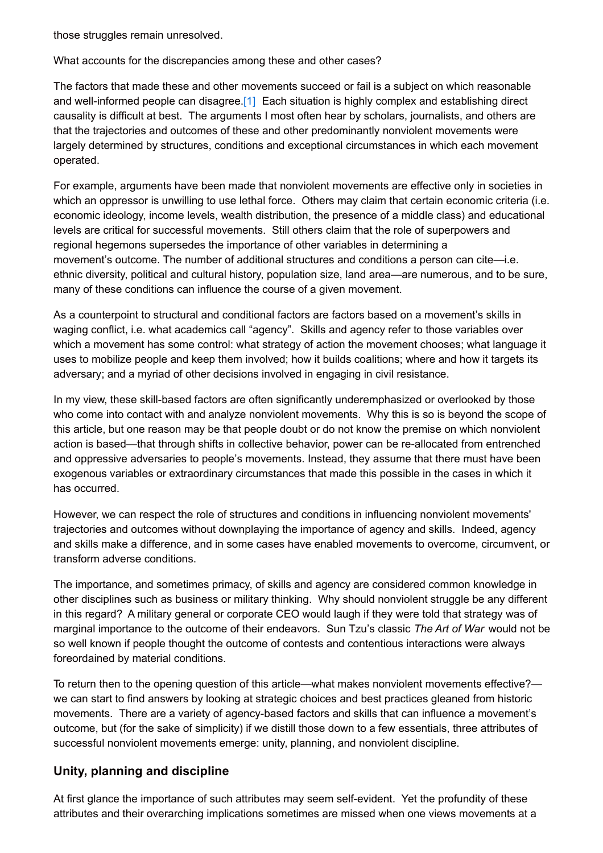those struggles remain unresolved.

What accounts for the discrepancies among these and other cases?

The factors that made these and other movements succeed or fail is a subject on which reasonable and well-informed people can disagree[.\[1\]](https://www.opendemocracy.net/hardy-merriman/trifecta-of-civil-resistance-unity-planning-discipline#_ftn1) Each situation is highly complex and establishing direct causality is difficult at best. The arguments I most often hear by scholars, journalists, and others are that the trajectories and outcomes of these and other predominantly nonviolent movements were largely determined by structures, conditions and exceptional circumstances in which each movement operated.

For example, arguments have been made that nonviolent movements are effective only in societies in which an oppressor is unwilling to use lethal force. Others may claim that certain economic criteria (i.e. economic ideology, income levels, wealth distribution, the presence of a middle class) and educational levels are critical for successful movements. Still others claim that the role of superpowers and regional hegemons supersedes the importance of other variables in determining a movement's outcome. The number of additional structures and conditions a person can cite—i.e. ethnic diversity, political and cultural history, population size, land area—are numerous, and to be sure, many of these conditions can influence the course of a given movement.

As a counterpoint to structural and conditional factors are factors based on a movement's skills in waging conflict, i.e. what academics call "agency". Skills and agency refer to those variables over which a movement has some control: what strategy of action the movement chooses; what language it uses to mobilize people and keep them involved; how it builds coalitions; where and how it targets its adversary; and a myriad of other decisions involved in engaging in civil resistance.

In my view, these skill-based factors are often significantly underemphasized or overlooked by those who come into contact with and analyze nonviolent movements. Why this is so is beyond the scope of this article, but one reason may be that people doubt or do not know the premise on which nonviolent action is based—that through shifts in collective behavior, power can be re-allocated from entrenched and oppressive adversaries to people's movements. Instead, they assume that there must have been exogenous variables or extraordinary circumstances that made this possible in the cases in which it has occurred.

However, we can respect the role of structures and conditions in influencing nonviolent movements' trajectories and outcomes without downplaying the importance of agency and skills. Indeed, agency and skills make a difference, and in some cases have enabled movements to overcome, circumvent, or transform adverse conditions.

The importance, and sometimes primacy, of skills and agency are considered common knowledge in other disciplines such as business or military thinking. Why should nonviolent struggle be any different in this regard? A military general or corporate CEO would laugh if they were told that strategy was of marginal importance to the outcome of their endeavors. Sun Tzu's classic *The Art of War* would not be so well known if people thought the outcome of contests and contentious interactions were always foreordained by material conditions.

To return then to the opening question of this article—what makes nonviolent movements effective? we can start to find answers by looking at strategic choices and best practices gleaned from historic movements. There are a variety of agency-based factors and skills that can influence a movement's outcome, but (for the sake of simplicity) if we distill those down to a few essentials, three attributes of successful nonviolent movements emerge: unity, planning, and nonviolent discipline.

#### **Unity, planning and discipline**

At first glance the importance of such attributes may seem self-evident. Yet the profundity of these attributes and their overarching implications sometimes are missed when one views movements at a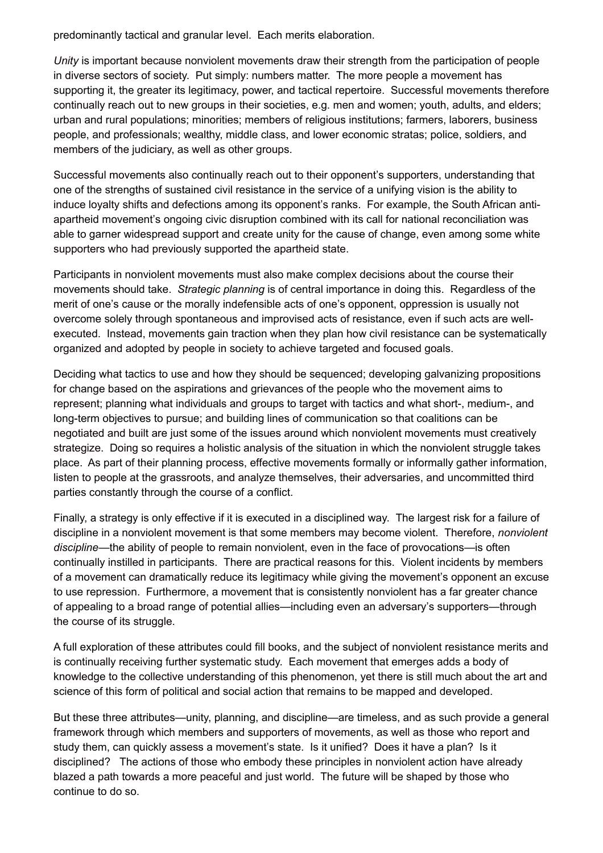predominantly tactical and granular level. Each merits elaboration.

*Unity* is important because nonviolent movements draw their strength from the participation of people in diverse sectors of society. Put simply: numbers matter. The more people a movement has supporting it, the greater its legitimacy, power, and tactical repertoire. Successful movements therefore continually reach out to new groups in their societies, e.g. men and women; youth, adults, and elders; urban and rural populations; minorities; members of religious institutions; farmers, laborers, business people, and professionals; wealthy, middle class, and lower economic stratas; police, soldiers, and members of the judiciary, as well as other groups.

Successful movements also continually reach out to their opponent's supporters, understanding that one of the strengths of sustained civil resistance in the service of a unifying vision is the ability to induce loyalty shifts and defections among its opponent's ranks. For example, the South African antiapartheid movement's ongoing civic disruption combined with its call for national reconciliation was able to garner widespread support and create unity for the cause of change, even among some white supporters who had previously supported the apartheid state.

Participants in nonviolent movements must also make complex decisions about the course their movements should take. *Strategic planning* is of central importance in doing this. Regardless of the merit of one's cause or the morally indefensible acts of one's opponent, oppression is usually not overcome solely through spontaneous and improvised acts of resistance, even if such acts are wellexecuted. Instead, movements gain traction when they plan how civil resistance can be systematically organized and adopted by people in society to achieve targeted and focused goals.

Deciding what tactics to use and how they should be sequenced; developing galvanizing propositions for change based on the aspirations and grievances of the people who the movement aims to represent; planning what individuals and groups to target with tactics and what short-, medium-, and long-term objectives to pursue; and building lines of communication so that coalitions can be negotiated and built are just some of the issues around which nonviolent movements must creatively strategize. Doing so requires a holistic analysis of the situation in which the nonviolent struggle takes place. As part of their planning process, effective movements formally or informally gather information, listen to people at the grassroots, and analyze themselves, their adversaries, and uncommitted third parties constantly through the course of a conflict.

Finally, a strategy is only effective if it is executed in a disciplined way. The largest risk for a failure of discipline in a nonviolent movement is that some members may become violent. Therefore, *nonviolent discipline*—the ability of people to remain nonviolent, even in the face of provocations—is often continually instilled in participants. There are practical reasons for this. Violent incidents by members of a movement can dramatically reduce its legitimacy while giving the movement's opponent an excuse to use repression. Furthermore, a movement that is consistently nonviolent has a far greater chance of appealing to a broad range of potential allies—including even an adversary's supporters—through the course of its struggle.

A full exploration of these attributes could fill books, and the subject of nonviolent resistance merits and is continually receiving further systematic study. Each movement that emerges adds a body of knowledge to the collective understanding of this phenomenon, yet there is still much about the art and science of this form of political and social action that remains to be mapped and developed.

But these three attributes—unity, planning, and discipline—are timeless, and as such provide a general framework through which members and supporters of movements, as well as those who report and study them, can quickly assess a movement's state. Is it unified? Does it have a plan? Is it disciplined? The actions of those who embody these principles in nonviolent action have already blazed a path towards a more peaceful and just world. The future will be shaped by those who continue to do so.